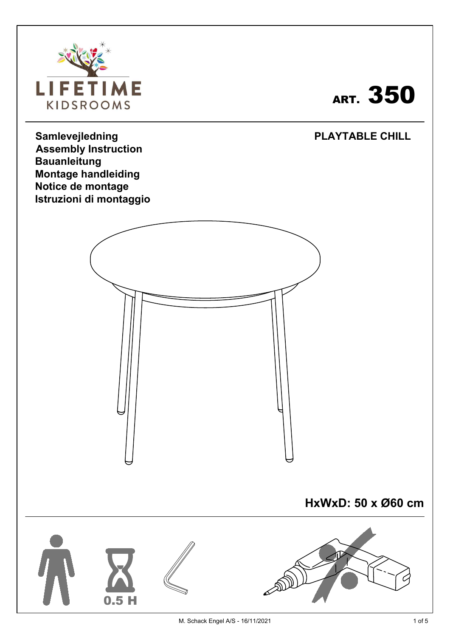

## art.  $\bf 350$   $|$

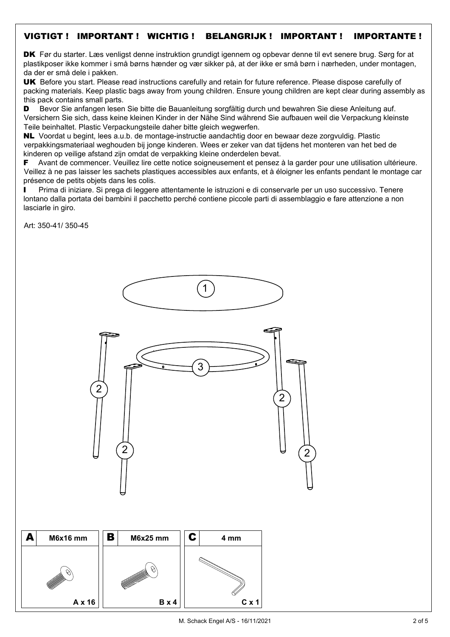## VIGTIGT ! IMPORTANT ! WICHTIG ! BELANGRIJK ! IMPORTANT ! IMPORTANTE !

DK Før du starter. Læs venligst denne instruktion grundigt igennem og opbevar denne til evt senere brug. Sørg for at plastikposer ikke kommer i små børns hænder og vær sikker på, at der ikke er små børn i nærheden, under montagen, da der er små dele i pakken.

UK Before you start. Please read instructions carefully and retain for future reference. Please dispose carefully of packing materials. Keep plastic bags away from young children. Ensure young children are kept clear during assembly as this pack contains small parts.

D Bevor Sie anfangen lesen Sie bitte die Bauanleitung sorgfältig durch und bewahren Sie diese Anleitung auf. Versichern Sie sich, dass keine kleinen Kinder in der Nähe Sind während Sie aufbauen weil die Verpackung kleinste Teile beinhaltet. Plastic Verpackungsteile daher bitte gleich wegwerfen.

NL Voordat u begint, lees a.u.b. de montage-instructie aandachtig door en bewaar deze zorgvuldig. Plastic verpakkingsmateriaal weghouden bij jonge kinderen. Wees er zeker van dat tijdens het monteren van het bed de kinderen op veilige afstand zijn omdat de verpakking kleine onderdelen bevat.

F Avant de commencer. Veuillez lire cette notice soigneusement et pensez à la garder pour une utilisation ultérieure. Veillez à ne pas laisser les sachets plastiques accessibles aux enfants, et à éloigner les enfants pendant le montage car présence de petits objets dans les colis.

Prima di iniziare. Si prega di leggere attentamente le istruzioni e di conservarle per un uso successivo. Tenere lontano dalla portata dei bambini il pacchetto perché contiene piccole parti di assemblaggio e fare attenzione a non lasciarle in giro.

Art: 350-41/ 350-45





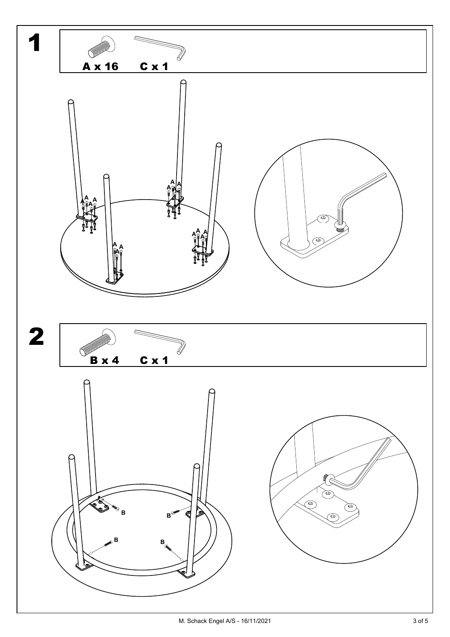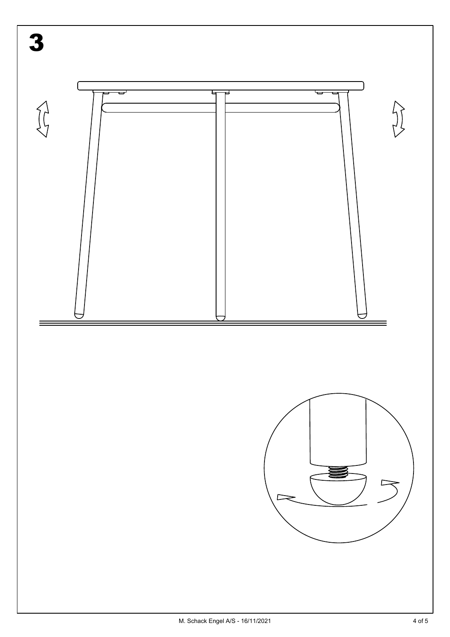